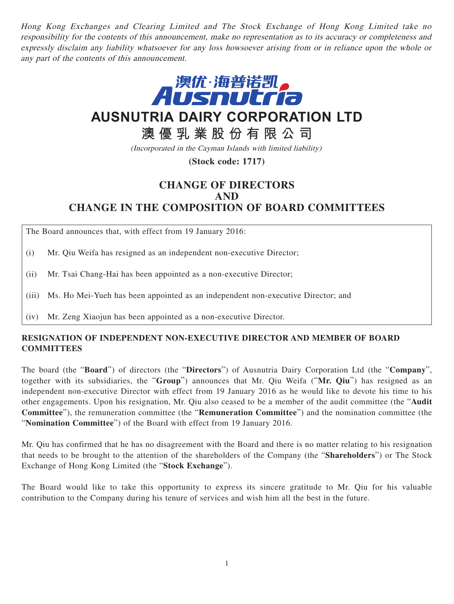Hong Kong Exchanges and Clearing Limited and The Stock Exchange of Hong Kong Limited take no responsibility for the contents of this announcement, make no representation as to its accuracy or completeness and expressly disclaim any liability whatsoever for any loss howsoever arising from or in reliance upon the whole or any part of the contents of this announcement.



# **AUSNUTRIA DAIRY CORPORATION LTD**

## **澳優乳業股份有限公司**

(Incorporated in the Cayman Islands with limited liability)

**(Stock code: 1717)**

## **CHANGE OF DIRECTORS AND CHANGE IN THE COMPOSITION OF BOARD COMMITTEES**

The Board announces that, with effect from 19 January 2016:

(i) Mr. Qiu Weifa has resigned as an independent non-executive Director;

(ii) Mr. Tsai Chang-Hai has been appointed as a non-executive Director;

(iii) Ms. Ho Mei-Yueh has been appointed as an independent non-executive Director; and

(iv) Mr. Zeng Xiaojun has been appointed as a non-executive Director.

#### **RESIGNATION OF INDEPENDENT NON-EXECUTIVE DIRECTOR AND MEMBER OF BOARD COMMITTEES**

The board (the "**Board**") of directors (the "**Directors**") of Ausnutria Dairy Corporation Ltd (the "**Company**", together with its subsidiaries, the "**Group**") announces that Mr. Qiu Weifa ("**Mr. Qiu**") has resigned as an independent non-executive Director with effect from 19 January 2016 as he would like to devote his time to his other engagements. Upon his resignation, Mr. Qiu also ceased to be a member of the audit committee (the "**Audit Committee**"), the remuneration committee (the "**Remuneration Committee**") and the nomination committee (the "**Nomination Committee**") of the Board with effect from 19 January 2016.

Mr. Qiu has confirmed that he has no disagreement with the Board and there is no matter relating to his resignation that needs to be brought to the attention of the shareholders of the Company (the "**Shareholders**") or The Stock Exchange of Hong Kong Limited (the "**Stock Exchange**").

The Board would like to take this opportunity to express its sincere gratitude to Mr. Qiu for his valuable contribution to the Company during his tenure of services and wish him all the best in the future.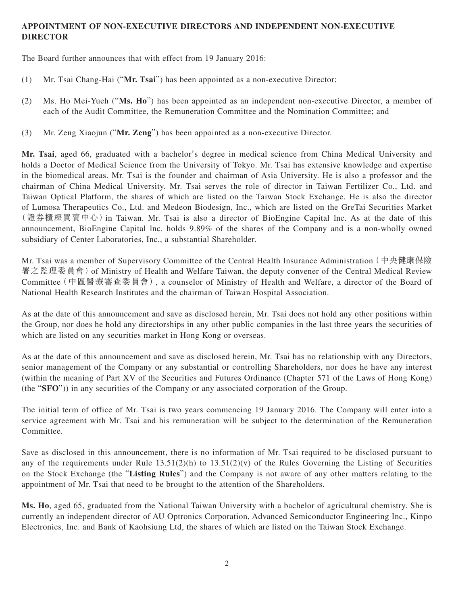### **APPOINTMENT OF NON-EXECUTIVE DIRECTORS AND INDEPENDENT NON-EXECUTIVE DIRECTOR**

The Board further announces that with effect from 19 January 2016:

- (1) Mr. Tsai Chang-Hai ("**Mr. Tsai**") has been appointed as a non-executive Director;
- (2) Ms. Ho Mei-Yueh ("**Ms. Ho**") has been appointed as an independent non-executive Director, a member of each of the Audit Committee, the Remuneration Committee and the Nomination Committee; and
- (3) Mr. Zeng Xiaojun ("**Mr. Zeng**") has been appointed as a non-executive Director.

**Mr. Tsai**, aged 66, graduated with a bachelor's degree in medical science from China Medical University and holds a Doctor of Medical Science from the University of Tokyo. Mr. Tsai has extensive knowledge and expertise in the biomedical areas. Mr. Tsai is the founder and chairman of Asia University. He is also a professor and the chairman of China Medical University. Mr. Tsai serves the role of director in Taiwan Fertilizer Co., Ltd. and Taiwan Optical Platform, the shares of which are listed on the Taiwan Stock Exchange. He is also the director of Lumosa Therapeutics Co., Ltd. and Medeon Biodesign, Inc., which are listed on the GreTai Securities Market (證券櫃檯買賣中心)in Taiwan. Mr. Tsai is also a director of BioEngine Capital lnc. As at the date of this announcement, BioEngine Capital lnc. holds 9.89% of the shares of the Company and is a non-wholly owned subsidiary of Center Laboratories, Inc., a substantial Shareholder.

Mr. Tsai was a member of Supervisory Committee of the Central Health Insurance Administration(中央健康保險 署之監理委員會)of Ministry of Health and Welfare Taiwan, the deputy convener of the Central Medical Review Committee(中區醫療審查委員會), a counselor of Ministry of Health and Welfare, a director of the Board of National Health Research Institutes and the chairman of Taiwan Hospital Association.

As at the date of this announcement and save as disclosed herein, Mr. Tsai does not hold any other positions within the Group, nor does he hold any directorships in any other public companies in the last three years the securities of which are listed on any securities market in Hong Kong or overseas.

As at the date of this announcement and save as disclosed herein, Mr. Tsai has no relationship with any Directors, senior management of the Company or any substantial or controlling Shareholders, nor does he have any interest (within the meaning of Part XV of the Securities and Futures Ordinance (Chapter 571 of the Laws of Hong Kong) (the "**SFO**")) in any securities of the Company or any associated corporation of the Group.

The initial term of office of Mr. Tsai is two years commencing 19 January 2016. The Company will enter into a service agreement with Mr. Tsai and his remuneration will be subject to the determination of the Remuneration Committee.

Save as disclosed in this announcement, there is no information of Mr. Tsai required to be disclosed pursuant to any of the requirements under Rule  $13.51(2)(h)$  to  $13.51(2)(v)$  of the Rules Governing the Listing of Securities on the Stock Exchange (the "**Listing Rules**") and the Company is not aware of any other matters relating to the appointment of Mr. Tsai that need to be brought to the attention of the Shareholders.

**Ms. Ho**, aged 65, graduated from the National Taiwan University with a bachelor of agricultural chemistry. She is currently an independent director of AU Optronics Corporation, Advanced Semiconductor Engineering Inc., Kinpo Electronics, Inc. and Bank of Kaohsiung Ltd, the shares of which are listed on the Taiwan Stock Exchange.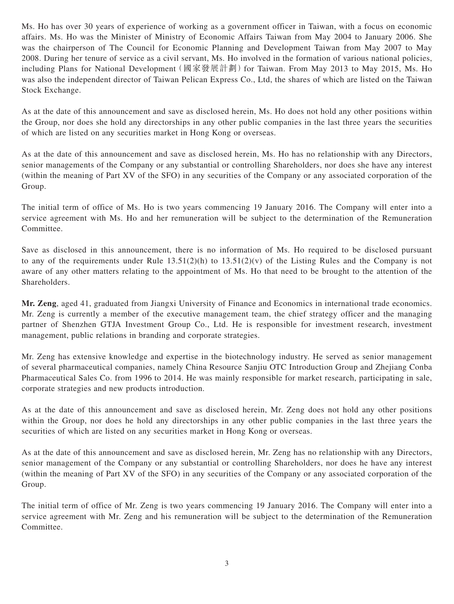Ms. Ho has over 30 years of experience of working as a government officer in Taiwan, with a focus on economic affairs. Ms. Ho was the Minister of Ministry of Economic Affairs Taiwan from May 2004 to January 2006. She was the chairperson of The Council for Economic Planning and Development Taiwan from May 2007 to May 2008. During her tenure of service as a civil servant, Ms. Ho involved in the formation of various national policies, including Plans for National Development (國家發展計劃) for Taiwan. From May 2013 to May 2015, Ms. Ho was also the independent director of Taiwan Pelican Express Co., Ltd, the shares of which are listed on the Taiwan Stock Exchange.

As at the date of this announcement and save as disclosed herein, Ms. Ho does not hold any other positions within the Group, nor does she hold any directorships in any other public companies in the last three years the securities of which are listed on any securities market in Hong Kong or overseas.

As at the date of this announcement and save as disclosed herein, Ms. Ho has no relationship with any Directors, senior managements of the Company or any substantial or controlling Shareholders, nor does she have any interest (within the meaning of Part XV of the SFO) in any securities of the Company or any associated corporation of the Group.

The initial term of office of Ms. Ho is two years commencing 19 January 2016. The Company will enter into a service agreement with Ms. Ho and her remuneration will be subject to the determination of the Remuneration Committee.

Save as disclosed in this announcement, there is no information of Ms. Ho required to be disclosed pursuant to any of the requirements under Rule 13.51(2)(h) to 13.51(2)(v) of the Listing Rules and the Company is not aware of any other matters relating to the appointment of Ms. Ho that need to be brought to the attention of the Shareholders.

**Mr. Zeng**, aged 41, graduated from Jiangxi University of Finance and Economics in international trade economics. Mr. Zeng is currently a member of the executive management team, the chief strategy officer and the managing partner of Shenzhen GTJA Investment Group Co., Ltd. He is responsible for investment research, investment management, public relations in branding and corporate strategies.

Mr. Zeng has extensive knowledge and expertise in the biotechnology industry. He served as senior management of several pharmaceutical companies, namely China Resource Sanjiu OTC Introduction Group and Zhejiang Conba Pharmaceutical Sales Co. from 1996 to 2014. He was mainly responsible for market research, participating in sale, corporate strategies and new products introduction.

As at the date of this announcement and save as disclosed herein, Mr. Zeng does not hold any other positions within the Group, nor does he hold any directorships in any other public companies in the last three years the securities of which are listed on any securities market in Hong Kong or overseas.

As at the date of this announcement and save as disclosed herein, Mr. Zeng has no relationship with any Directors, senior management of the Company or any substantial or controlling Shareholders, nor does he have any interest (within the meaning of Part XV of the SFO) in any securities of the Company or any associated corporation of the Group.

The initial term of office of Mr. Zeng is two years commencing 19 January 2016. The Company will enter into a service agreement with Mr. Zeng and his remuneration will be subject to the determination of the Remuneration Committee.